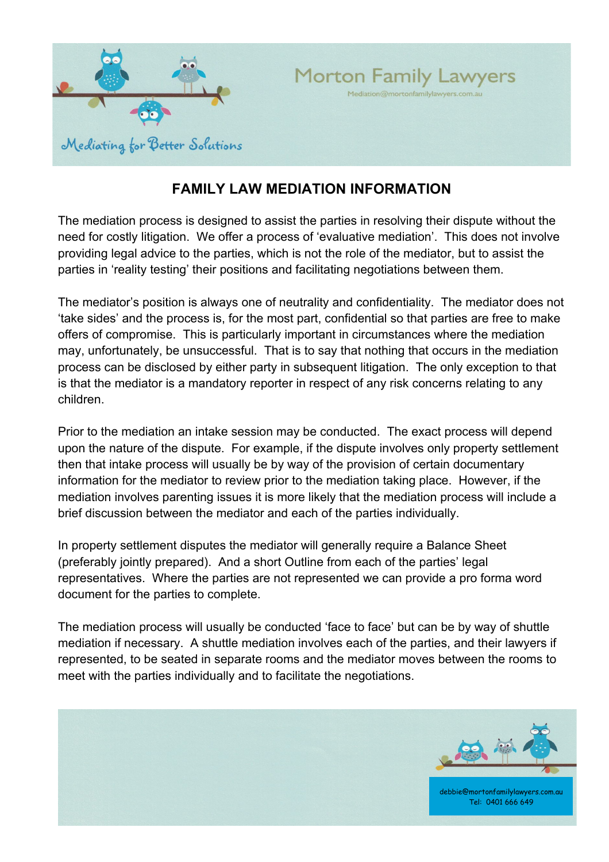

## **FAMILY LAW MEDIATION INFORMATION**

The mediation process is designed to assist the parties in resolving their dispute without the need for costly litigation. We offer a process of 'evaluative mediation'. This does not involve providing legal advice to the parties, which is not the role of the mediator, but to assist the parties in 'reality testing' their positions and facilitating negotiations between them.

The mediator's position is always one of neutrality and confidentiality. The mediator does not 'take sides' and the process is, for the most part, confidential so that parties are free to make offers of compromise. This is particularly important in circumstances where the mediation may, unfortunately, be unsuccessful. That is to say that nothing that occurs in the mediation process can be disclosed by either party in subsequent litigation. The only exception to that is that the mediator is a mandatory reporter in respect of any risk concerns relating to any children.

Prior to the mediation an intake session may be conducted. The exact process will depend upon the nature of the dispute. For example, if the dispute involves only property settlement then that intake process will usually be by way of the provision of certain documentary information for the mediator to review prior to the mediation taking place. However, if the mediation involves parenting issues it is more likely that the mediation process will include a brief discussion between the mediator and each of the parties individually.

In property settlement disputes the mediator will generally require a Balance Sheet (preferably jointly prepared). And a short Outline from each of the parties' legal representatives. Where the parties are not represented we can provide a pro forma word document for the parties to complete.

The mediation process will usually be conducted 'face to face' but can be by way of shuttle mediation if necessary. A shuttle mediation involves each of the parties, and their lawyers if represented, to be seated in separate rooms and the mediator moves between the rooms to meet with the parties individually and to facilitate the negotiations.



Tel: 0401 666 649